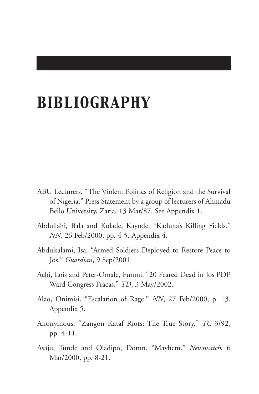## *BIBLIOGRAPHY*

- ABU Lecturers. "The Violent Politics of Religion and the Survival of Nigeria." Press Statement by a group of lecturers of Ahmadu Bello University, Zaria, 13 Mar/87. See Appendix 1.
- Abdullahi, Bala and Kolade, Kayode. "Kaduna's Killing Fields." *NN*, 26 Feb/2000, pp. 4-5. Appendix 4.
- Abdulsalami, Isa. "Armed Soldiers Deployed to Restore Peace to Jos." *Guardian*, 9 Sep/2001.
- Achi, Lois and Peter-Omale, Funmi. "20 Feared Dead in Jos PDP Ward Congress Fracas." *TD*, 3 May/2002.
- Alao, Onimisi. "Escalation of Rage." *NN*, 27 Feb/2000, p. 13. Appendix 5.
- Anonymous. "Zangon Kataf Riots: The True Story." *TC* 3/92, pp. 4-11.
- Asaju, Tunde and Oladipo, Dotun. "Mayhem." *Newswatch*, 6 Mar/2000, pp. 8-21.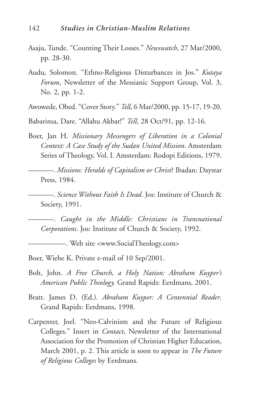- Asaju, Tunde. "Counting Their Losses." *Newswatch*, 27 Mar/2000, pp. 28-30.
- Audu, Solomon. "Ethno-Religious Disturbances in Jos." *Kutaya Forum*, Newsletter of the Messianic Support Group, Vol. 3, No. 2, pp. 1-2.
- Awowede, Obed. "Cover Story." *Tell*, 6 Mar/2000, pp. 15-17, 19-20.
- Babarinsa, Dare. "Allahu Akbar!" *Tell*, 28 Oct/91, pp. 12-16.
- Boer, Jan H. *Missionary Messengers of Liberation in a Colonial Context: A Case Study of the Sudan United Mission*. Amsterdam Series of Theology, Vol. I. Amsterdam: Rodopi Editions, 1979.
- ———-. *Missions: Heralds of Capitalism or Christ*? Ibadan: Daystar Press, 1984.
- ———-. *Science Without Faith Is Dead*. Jos: Institute of Church & Society, 1991.
	- ———-. *Caught in the Middle: Christians in Transnational Corporations*. Jos: Institute of Church & Society, 1992.

——. Web site <www.SocialTheology.com>

Boer, Wiebe K. Private e-mail of 10 Sep/2001.

- Bolt, John. *A Free Church, a Holy Nation: Abraham Kuyper's American Public Theology.* Grand Rapids: Eerdmans, 2001.
- Bratt. James D. (Ed.). *Abraham Kuyper: A Centennial Reader*. Grand Rapids: Eerdmans, 1998.
- Carpenter, Joel. "Neo-Calvinism and the Future of Religious Colleges." Insert in *Contact*, Newsletter of the International Association for the Promotion of Christian Higher Education, March 2001, p. 2. This article is soon to appear in *The Future of Religious Colleges* by Eerdmans.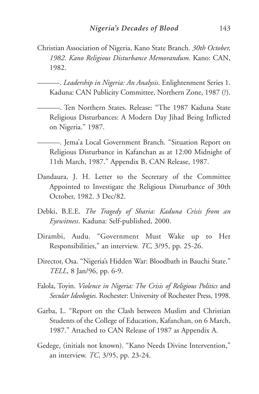Christian Association of Nigeria, Kano State Branch. *30th October, 1982. Kano Religious Disturbance Memorandum.* Kano: CAN, 1982.

———. *Leadership in Nigeria: An Analysis*. Enlightenment Series 1. Kaduna: CAN Publicity Committee, Northern Zone, 1987 (?).

- ———. Ten Northern States. Release: "The 1987 Kaduna State Religious Disturbances: A Modern Day Jihad Being Inflicted on Nigeria." 1987.
- ———. Jema'a Local Government Branch. "Situation Report on Religious Disturbance in Kafanchan as at 12:00 Midnight of 11th March, 1987." Appendix B, CAN Release, 1987.
- Dandaura, J. H. Letter to the Secretary of the Committee Appointed to Investigate the Religious Disturbance of 30th October, 1982. 3 Dec/82.
- Debki, B.E.E. *The Tragedy of Sharia: Kaduna Crisis from an Eyewitness*. Kaduna: Self-published, 2000.
- Dirambi, Audu. "Government Must Wake up to Her Responsibilities," an interview. *TC,* 3/95, pp. 25-26.
- Director, Osa. "Nigeria's Hidden War: Bloodbath in Bauchi State." *TELL*, 8 Jan/96, pp. 6-9.
- Falola, Toyin. *Violence in Nigeria: The Crisis of Religious Politics* and *Secular Ideologies.* Rochester: University of Rochester Press, 1998.
- Garba, L. "Report on the Clash between Muslim and Christian Students of the College of Education, Kafanchan, on 6 March, 1987." Attached to CAN Release of 1987 as Appendix A.
- Gedege, (initials not known). "Kano Needs Divine Intervention," an interview. *TC*, 3/95, pp. 23-24.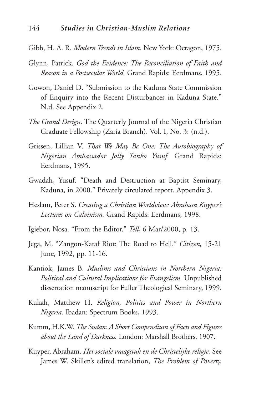- Gibb, H. A. R. *Modern Trends in Islam*. New York: Octagon, 1975.
- Glynn, Patrick. *God the Evidence: The Reconciliation of Faith and Reason in a Postsecular World.* Grand Rapids: Eerdmans, 1995.
- Gowon, Daniel D. "Submission to the Kaduna State Commission of Enquiry into the Recent Disturbances in Kaduna State*.*" N.d. See Appendix 2.
- *The Grand Design*. The Quarterly Journal of the Nigeria Christian Graduate Fellowship (Zaria Branch). Vol. I, No. 3: (n.d.).
- Grissen, Lillian V. *That We May Be One: The Autobiography of Nigerian Ambassador Jolly Tanko Yusuf.* Grand Rapids: Eerdmans, 1995.
- Gwadah, Yusuf. "Death and Destruction at Baptist Seminary, Kaduna, in 2000." Privately circulated report. Appendix 3.
- Heslam, Peter S. *Creating a Christian Worldview: Abraham Kuyper's Lectures on Calvinism.* Grand Rapids: Eerdmans, 1998.
- Igiebor, Nosa. "From the Editor." *Tell*, 6 Mar/2000, p. 13.
- Jega, M. "Zangon-Kataf Riot: The Road to Hell." *Citizen,* 15-21 June, 1992, pp. 11-16.
- Kantiok, James B. *Muslims and Christians in Northern Nigeria: Political and Cultural Implications for Evangelism.* Unpublished dissertation manuscript for Fuller Theological Seminary, 1999.
- Kukah, Matthew H. *Religion, Politics and Power in Northern Nigeria*. Ibadan: Spectrum Books, 1993.
- Kumm, H.K.W. *The Sudan: A Short Compendium of Facts and Figures about the Land of Darkness.* London: Marshall Brothers, 1907.
- Kuyper, Abraham. *Het sociale vraagstuk en de Christelijke religie.* See James W. Skillen's edited translation, *The Problem of Poverty.*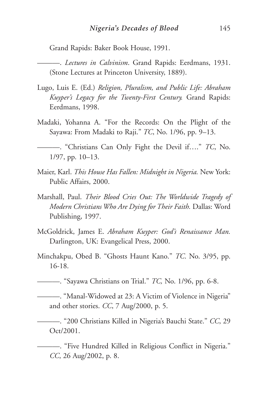Grand Rapids: Baker Book House, 1991.

———. *Lectures in Calvinism*. Grand Rapids: Eerdmans, 1931. (Stone Lectures at Princeton University, 1889).

- Lugo, Luis E. (Ed.) *Religion, Pluralism, and Public Life: Abraham Kuyper's Legacy for the Twenty-First Century.* Grand Rapids: Eerdmans, 1998.
- Madaki, Yohanna A. "For the Records: On the Plight of the Sayawa: From Madaki to Raji." *TC*, No. 1/96, pp. 9–13.
	- ———. "Christians Can Only Fight the Devil if…." *TC*, No. 1/97, pp. 10–13.
- Maier, Karl. *This House Has Fallen: Midnight in Nigeria.* New York: Public Affairs, 2000.
- Marshall, Paul. *Their Blood Cries Out: The Worldwide Tragedy of Modern Christians Who Are Dying for Their Faith.* Dallas: Word Publishing, 1997.
- McGoldrick, James E. *Abraham Kuyper: God's Renaissance Man.* Darlington, UK: Evangelical Press, 2000.
- Minchakpu, Obed B. "Ghosts Haunt Kano." *TC*. No. 3/95, pp. 16-18.

———. "Sayawa Christians on Trial." *TC,* No. 1/96, pp. 6-8.

———. "Manal-Widowed at 23: A Victim of Violence in Nigeria" and other stories. *CC*, 7 Aug/2000, p. 5.

———. "200 Christians Killed in Nigeria's Bauchi State." *CC*, 29 Oct/2001.

———. "Five Hundred Killed in Religious Conflict in Nigeria." *CC*, 26 Aug/2002, p. 8.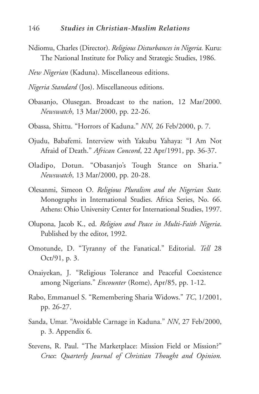- Ndiomu, Charles (Director). *Religious Disturbances in Nigeria.* Kuru: The National Institute for Policy and Strategic Studies, 1986.
- *New Nigerian* (Kaduna). Miscellaneous editions.
- *Nigeria Standard* (Jos). Miscellaneous editions.
- Obasanjo, Olusegan. Broadcast to the nation, 12 Mar/2000. *Newswatch*, 13 Mar/2000, pp. 22-26.
- Obassa, Shittu. "Horrors of Kaduna." *NN,* 26 Feb/2000, p. 7.
- Ojudu, Babafemi. Interview with Yakubu Yahaya: "I Am Not Afraid of Death." *African Concord*, 22 Apr/1991, pp. 36-37.
- Oladipo, Dotun. "Obasanjo's Tough Stance on Sharia." *Newswatch*, 13 Mar/2000, pp. 20-28.
- Olesanmi, Simeon O. *Religious Pluralism and the Nigerian State.* Monographs in International Studies. Africa Series, No. 66. Athens: Ohio University Center for International Studies, 1997.
- Olupona, Jacob K., ed. *Religion and Peace in Multi-Faith Nigeria*. Published by the editor, 1992.
- Omotunde, D. "Tyranny of the Fanatical." Editorial. *Tell* 28 Oct/91, p. 3.
- Onaiyekan, J. "Religious Tolerance and Peaceful Coexistence among Nigerians." *Encounter* (Rome), Apr/85, pp. 1-12.
- Rabo, Emmanuel S. "Remembering Sharia Widows." *TC*, 1/2001, pp. 26-27.
- Sanda, Umar. "Avoidable Carnage in Kaduna." *NN*, 27 Feb/2000, p. 3. Appendix 6.
- Stevens, R. Paul. "The Marketplace: Mission Field or Mission?" *Crux*: *Quarterly Journal of Christian Thought and Opinion.*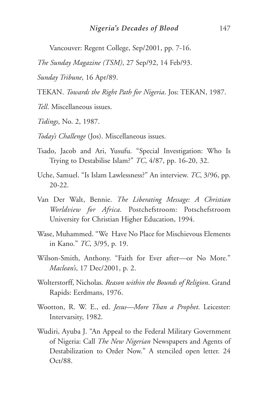Vancouver: Regent College, Sep/2001, pp. 7-16.

*The Sunday Magazine (TSM)*, 27 Sep/92, 14 Feb/93.

*Sunday Tribune*, 16 Apr/89.

TEKAN. *Towards the Right Path for Nigeria*. Jos: TEKAN, 1987.

*Tell*. Miscellaneous issues.

*Tidings*, No. 2, 1987.

*Today's Challenge* (Jos). Miscellaneous issues.

- Tsado, Jacob and Ari, Yusufu. "Special Investigation: Who Is Trying to Destabilise Islam?" *TC*, 4/87, pp. 16-20, 32.
- Uche, Samuel. "Is Islam Lawlessness?" An interview. *TC*, 3/96, pp. 20-22.
- Van Der Walt, Bennie. *The Liberating Message: A Christian Worldview for Africa.* Postchefstroom: Potschefstroom University for Christian Higher Education, 1994.
- Wase, Muhammed. "We Have No Place for Mischievous Elements in Kano." *TC*, 3/95, p. 19.
- Wilson-Smith, Anthony. "Faith for Ever after—or No More." *Maclean's*, 17 Dec/2001, p. 2.
- Wolterstorff, Nicholas. *Reason within the Bounds of Religion*. Grand Rapids: Eerdmans, 1976.
- Wootton, R. W. E., ed. *Jesus—More Than a Prophet*. Leicester: Intervarsity, 1982.
- Wudiri, Ayuba J. "An Appeal to the Federal Military Government of Nigeria: Call *The New Nigerian* Newspapers and Agents of Destabilization to Order Now." A stenciled open letter. 24 Oct/88.